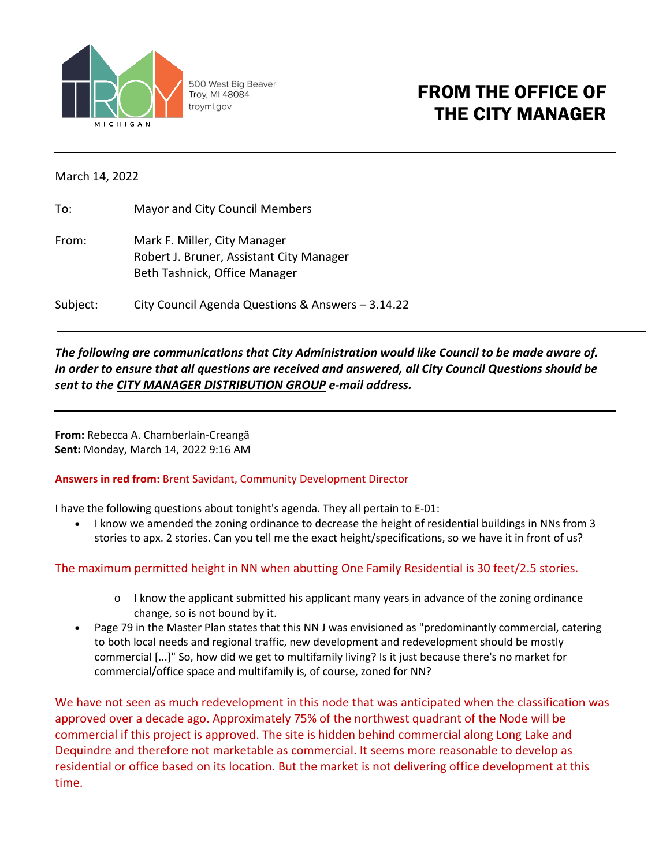

500 West Big Beaver Troy, MI 48084 troymi.gov

# FROM THE OFFICE OF THE CITY MANAGER

### March 14, 2022

| To:   | Mayor and City Council Members                                                                            |
|-------|-----------------------------------------------------------------------------------------------------------|
| From: | Mark F. Miller, City Manager<br>Robert J. Bruner, Assistant City Manager<br>Beth Tashnick, Office Manager |

Subject: City Council Agenda Questions & Answers – 3.14.22

# *The following are communications that City Administration would like Council to be made aware of. In order to ensure that all questions are received and answered, all City Council Questions should be sent to the CITY MANAGER DISTRIBUTION GROUP e-mail address.*

**From:** Rebecca A. Chamberlain-Creangă **Sent:** Monday, March 14, 2022 9:16 AM

### **Answers in red from:** Brent Savidant, Community Development Director

I have the following questions about tonight's agenda. They all pertain to E-01:

• I know we amended the zoning ordinance to decrease the height of residential buildings in NNs from 3 stories to apx. 2 stories. Can you tell me the exact height/specifications, so we have it in front of us?

# The maximum permitted height in NN when abutting One Family Residential is 30 feet/2.5 stories.

- $\circ$  I know the applicant submitted his applicant many years in advance of the zoning ordinance change, so is not bound by it.
- Page 79 in the Master Plan states that this NN J was envisioned as "predominantly commercial, catering to both local needs and regional traffic, new development and redevelopment should be mostly commercial [...]" So, how did we get to multifamily living? Is it just because there's no market for commercial/office space and multifamily is, of course, zoned for NN?

We have not seen as much redevelopment in this node that was anticipated when the classification was approved over a decade ago. Approximately 75% of the northwest quadrant of the Node will be commercial if this project is approved. The site is hidden behind commercial along Long Lake and Dequindre and therefore not marketable as commercial. It seems more reasonable to develop as residential or office based on its location. But the market is not delivering office development at this time.